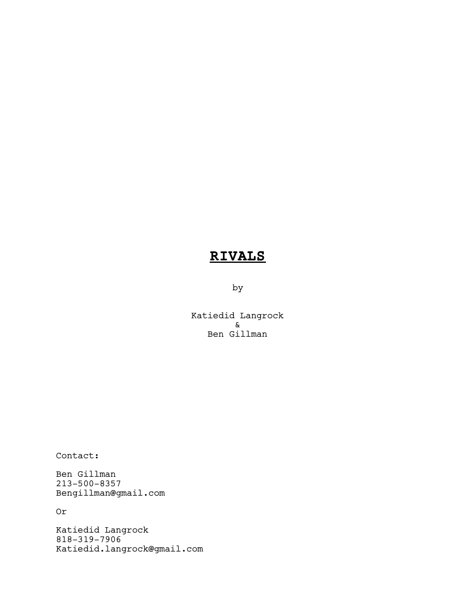# RIVALS

by

Katiedid Langrock & Ben Gillman

Contact:

Ben Gillman 213-500-8357 Bengillman@gmail.com

Or

Katiedid Langrock 818-319-7906 Katiedid.langrock@gmail.com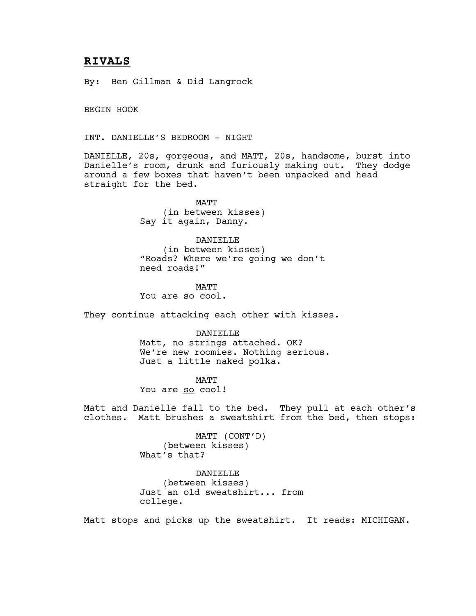# RIVALS

By: Ben Gillman & Did Langrock

BEGIN HOOK

INT. DANIELLE'S BEDROOM - NIGHT

DANIELLE, 20s, gorgeous, and MATT, 20s, handsome, burst into Danielle's room, drunk and furiously making out. They dodge around a few boxes that haven't been unpacked and head straight for the bed.

> MATT (in between kisses) Say it again, Danny.

DANIELLE (in between kisses) "Roads? Where we're going we don't need roads!"

MATT You are so cool.

They continue attacking each other with kisses.

DANIELLE

Matt, no strings attached. OK? We're new roomies. Nothing serious. Just a little naked polka.

MATT

You are so cool!

Matt and Danielle fall to the bed. They pull at each other's clothes. Matt brushes a sweatshirt from the bed, then stops:

> MATT (CONT'D) (between kisses) What's that?

DANIELLE (between kisses) Just an old sweatshirt... from college.

Matt stops and picks up the sweatshirt. It reads: MICHIGAN.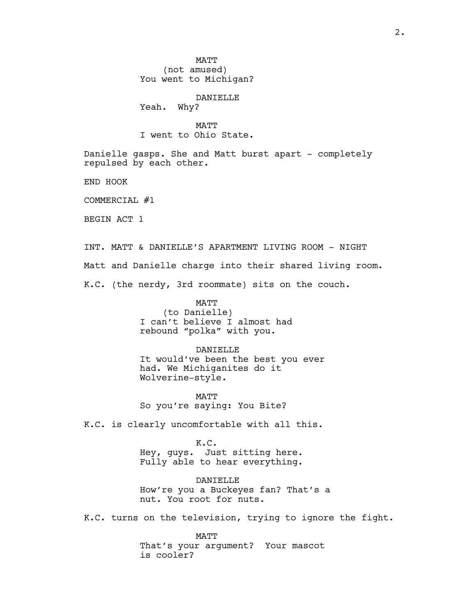MATT (not amused) You went to Michigan?

DANIELLE

Yeah. Why?

MATT I went to Ohio State.

Danielle gasps. She and Matt burst apart - completely repulsed by each other.

END HOOK

COMMERCIAL #1

BEGIN ACT 1

INT. MATT & DANIELLE'S APARTMENT LIVING ROOM - NIGHT Matt and Danielle charge into their shared living room. K.C. (the nerdy, 3rd roommate) sits on the couch.

> MATT (to Danielle) I can't believe I almost had rebound "polka" with you.

DANIELLE It would've been the best you ever had. We Michiganites do it Wolverine-style.

MATT So you're saying: You Bite?

K.C. is clearly uncomfortable with all this.

K.C. Hey, guys. Just sitting here. Fully able to hear everything.

DANIELLE How're you a Buckeyes fan? That's a nut. You root for nuts.

K.C. turns on the television, trying to ignore the fight.

MATT That's your argument? Your mascot is cooler?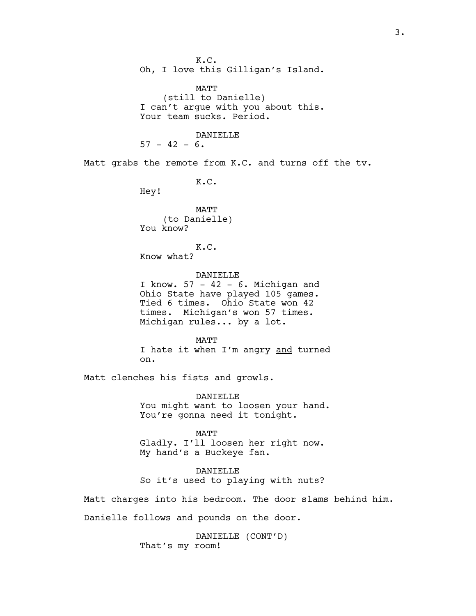K.C. Oh, I love this Gilligan's Island. MATT (still to Danielle) I can't argue with you about this. Your team sucks. Period. DANIELLE  $57 - 42 - 6$ . Matt grabs the remote from K.C. and turns off the tv. K.C. Hey! MATT (to Danielle) You know? K.C. Know what? DANIELLE I know.  $57 - 42 - 6$ . Michigan and Ohio State have played 105 games. Tied 6 times. Ohio State won 42 times. Michigan's won 57 times. Michigan rules... by a lot. MATT I hate it when I'm angry and turned on. Matt clenches his fists and growls. DANIELLE You might want to loosen your hand. You're gonna need it tonight. MATT Gladly. I'll loosen her right now. My hand's a Buckeye fan. DANIELLE So it's used to playing with nuts? Matt charges into his bedroom. The door slams behind him. Danielle follows and pounds on the door. DANIELLE (CONT'D)

That's my room!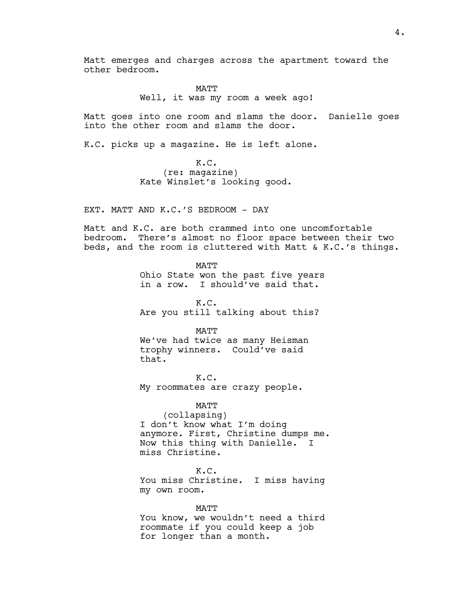Matt emerges and charges across the apartment toward the other bedroom.

# MATT Well, it was my room a week ago!

Matt goes into one room and slams the door. Danielle goes into the other room and slams the door.

K.C. picks up a magazine. He is left alone.

K.C. (re: magazine) Kate Winslet's looking good.

EXT. MATT AND K.C.'S BEDROOM - DAY

Matt and K.C. are both crammed into one uncomfortable bedroom. There's almost no floor space between their two beds, and the room is cluttered with Matt & K.C.'s things.

> MATT Ohio State won the past five years in a row. I should've said that.

K.C. Are you still talking about this?

### MATT

We've had twice as many Heisman trophy winners. Could've said that.

K.C. My roommates are crazy people.

MATT (collapsing) I don't know what I'm doing anymore. First, Christine dumps me. Now this thing with Danielle. I miss Christine.

# K.C.

You miss Christine. I miss having my own room.

MATT You know, we wouldn't need a third roommate if you could keep a job for longer than a month.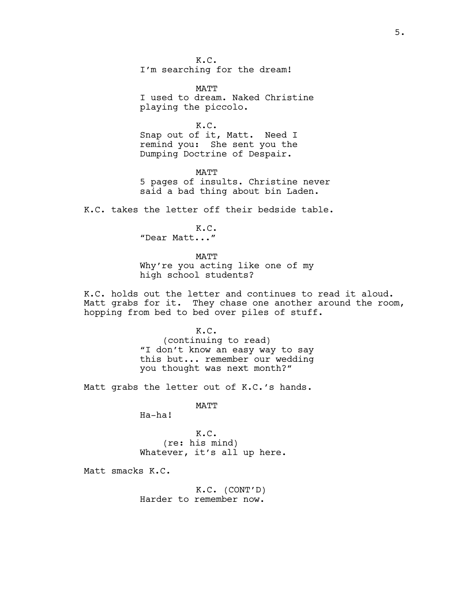K.C. I'm searching for the dream!

MATT I used to dream. Naked Christine playing the piccolo.

K.C. Snap out of it, Matt. Need I remind you: She sent you the Dumping Doctrine of Despair.

MATT 5 pages of insults. Christine never said a bad thing about bin Laden.

K.C. takes the letter off their bedside table.

K.C. "Dear Matt..."

MATT Why're you acting like one of my high school students?

K.C. holds out the letter and continues to read it aloud. Matt grabs for it. They chase one another around the room, hopping from bed to bed over piles of stuff.

> K.C. (continuing to read) "I don't know an easy way to say this but... remember our wedding you thought was next month?"

Matt grabs the letter out of K.C.'s hands.

MATT

Ha-ha!

K.C. (re: his mind) Whatever, it's all up here.

Matt smacks K.C.

K.C. (CONT'D) Harder to remember now.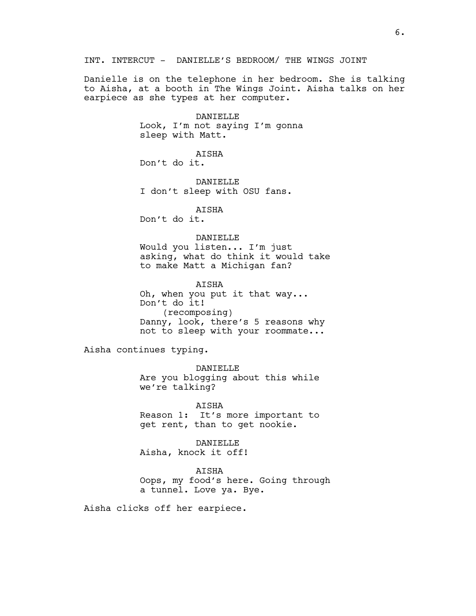INT. INTERCUT - DANIELLE'S BEDROOM/ THE WINGS JOINT

Danielle is on the telephone in her bedroom. She is talking to Aisha, at a booth in The Wings Joint. Aisha talks on her earpiece as she types at her computer.

> DANIELLE Look, I'm not saying I'm gonna sleep with Matt.

AISHA Don't do it.

DANTELLE I don't sleep with OSU fans.

AISHA Don't do it.

# DANIELLE

Would you listen... I'm just asking, what do think it would take to make Matt a Michigan fan?

AISHA Oh, when you put it that way... Don't do it! (recomposing) Danny, look, there's 5 reasons why not to sleep with your roommate...

Aisha continues typing.

DANIELLE Are you blogging about this while we're talking?

AISHA Reason 1: It's more important to get rent, than to get nookie.

DANIELLE Aisha, knock it off!

AISHA Oops, my food's here. Going through a tunnel. Love ya. Bye.

Aisha clicks off her earpiece.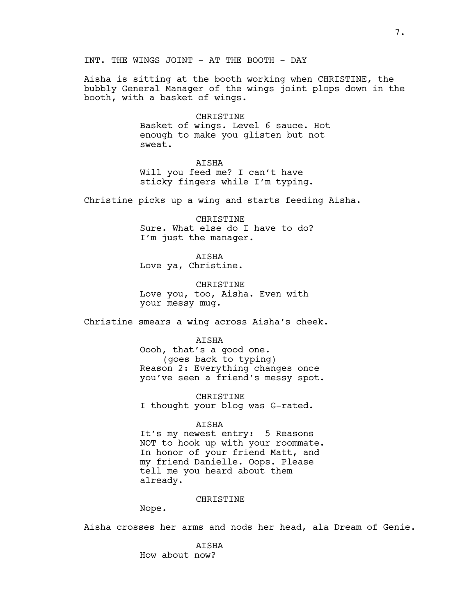Aisha is sitting at the booth working when CHRISTINE, the bubbly General Manager of the wings joint plops down in the booth, with a basket of wings.

#### CHRISTINE

Basket of wings. Level 6 sauce. Hot enough to make you glisten but not sweat.

#### AISHA

Will you feed me? I can't have sticky fingers while I'm typing.

Christine picks up a wing and starts feeding Aisha.

CHRISTINE Sure. What else do I have to do? I'm just the manager.

## AISHA Love ya, Christine.

CHRISTINE Love you, too, Aisha. Even with your messy mug.

Christine smears a wing across Aisha's cheek.

#### AISHA

Oooh, that's a good one. (goes back to typing) Reason 2: Everything changes once you've seen a friend's messy spot.

CHRISTINE I thought your blog was G-rated.

#### AISHA

It's my newest entry: 5 Reasons NOT to hook up with your roommate. In honor of your friend Matt, and my friend Danielle. Oops. Please tell me you heard about them already.

#### CHRISTINE

Nope.

Aisha crosses her arms and nods her head, ala Dream of Genie.

AISHA How about now?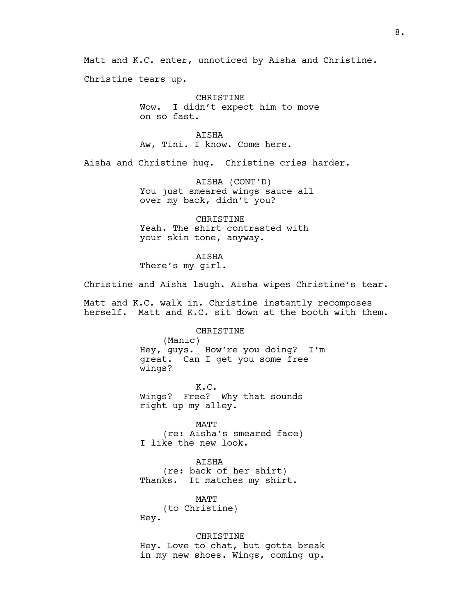Matt and K.C. enter, unnoticed by Aisha and Christine.

Christine tears up.

CHRISTINE Wow. I didn't expect him to move on so fast.

AISHA Aw, Tini. I know. Come here.

Aisha and Christine hug. Christine cries harder.

AISHA (CONT'D) You just smeared wings sauce all over my back, didn't you?

CHRISTINE Yeah. The shirt contrasted with your skin tone, anyway.

AISHA There's my girl.

Christine and Aisha laugh. Aisha wipes Christine's tear.

Matt and K.C. walk in. Christine instantly recomposes herself. Matt and K.C. sit down at the booth with them.

CHRISTINE

(Manic) Hey, guys. How're you doing? I'm great. Can I get you some free wings?

K.C. Wings? Free? Why that sounds right up my alley.

MATT (re: Aisha's smeared face) I like the new look.

AISHA (re: back of her shirt) Thanks. It matches my shirt.

MATT (to Christine)

Hey.

CHRISTINE

Hey. Love to chat, but gotta break in my new shoes. Wings, coming up.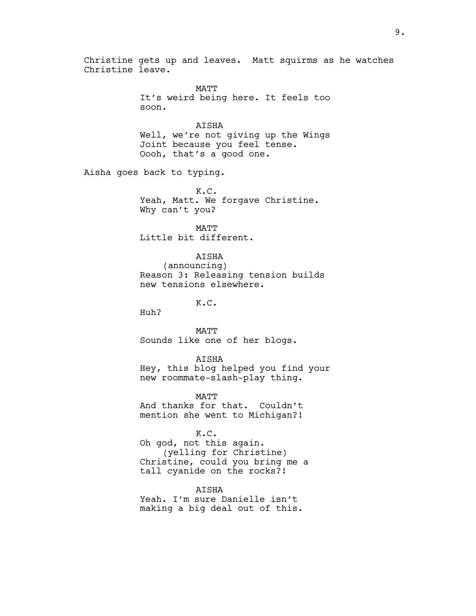Christine gets up and leaves. Matt squirms as he watches Christine leave.

> MATT It's weird being here. It feels too soon.

> AISHA Well, we're not giving up the Wings Joint because you feel tense. Oooh, that's a good one.

Aisha goes back to typing.

K.C. Yeah, Matt. We forgave Christine. Why can't you?

MATT Little bit different.

AISHA (announcing) Reason 3: Releasing tension builds new tensions elsewhere.

K.C.

Huh?

MATT Sounds like one of her blogs.

AISHA

Hey, this blog helped you find your new roommate-slash-play thing.

MATT And thanks for that. Couldn't mention she went to Michigan?!

K.C. Oh god, not this again. (yelling for Christine) Christine, could you bring me a

tall cyanide on the rocks?!

**ATSHA** Yeah. I'm sure Danielle isn't making a big deal out of this.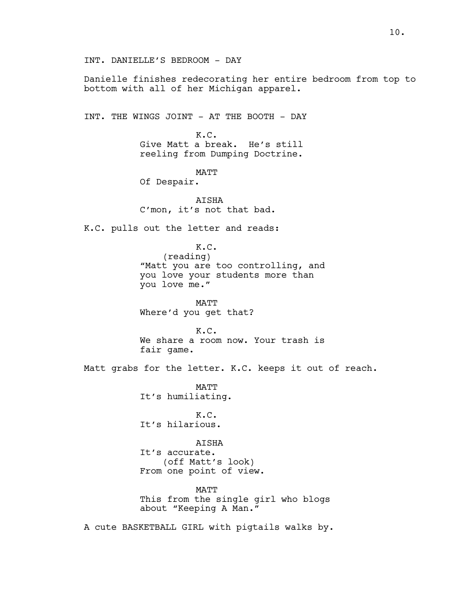INT. DANIELLE'S BEDROOM - DAY

Danielle finishes redecorating her entire bedroom from top to bottom with all of her Michigan apparel.

INT. THE WINGS JOINT - AT THE BOOTH - DAY

K.C. Give Matt a break. He's still reeling from Dumping Doctrine.

MATT

Of Despair.

**ATSHA** C'mon, it's not that bad.

K.C. pulls out the letter and reads:

K.C. (reading) "Matt you are too controlling, and you love your students more than you love me."

MATT Where'd you get that?

K.C. We share a room now. Your trash is fair game.

Matt grabs for the letter. K.C. keeps it out of reach.

**MATT** It's humiliating.

K.C. It's hilarious.

AISHA It's accurate. (off Matt's look) From one point of view.

MATT This from the single girl who blogs about "Keeping A Man."

A cute BASKETBALL GIRL with pigtails walks by.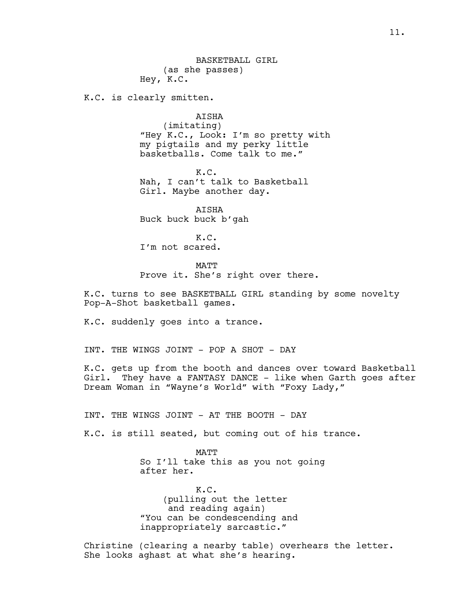BASKETBALL GIRL (as she passes) Hey, K.C.

K.C. is clearly smitten.

AISHA

(imitating) "Hey K.C., Look: I'm so pretty with my pigtails and my perky little basketballs. Come talk to me."

K.C. Nah, I can't talk to Basketball Girl. Maybe another day.

AISHA Buck buck buck b'gah

K.C. I'm not scared.

**MATT** 

Prove it. She's right over there.

K.C. turns to see BASKETBALL GIRL standing by some novelty Pop-A-Shot basketball games.

K.C. suddenly goes into a trance.

INT. THE WINGS JOINT - POP A SHOT - DAY

K.C. gets up from the booth and dances over toward Basketball Girl. They have a FANTASY DANCE - like when Garth goes after Dream Woman in "Wayne's World" with "Foxy Lady,"

INT. THE WINGS JOINT - AT THE BOOTH - DAY

K.C. is still seated, but coming out of his trance.

MATT So I'll take this as you not going after her.

K.C. (pulling out the letter and reading again) "You can be condescending and inappropriately sarcastic."

Christine (clearing a nearby table) overhears the letter. She looks aghast at what she's hearing.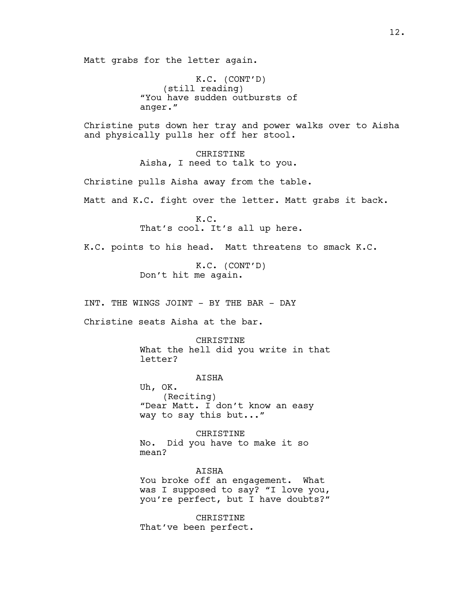Matt grabs for the letter again.

K.C. (CONT'D) (still reading) "You have sudden outbursts of anger."

Christine puts down her tray and power walks over to Aisha and physically pulls her off her stool.

> CHRISTINE Aisha, I need to talk to you.

Christine pulls Aisha away from the table.

Matt and K.C. fight over the letter. Matt grabs it back.

K.C. That's cool. It's all up here.

K.C. points to his head. Matt threatens to smack K.C.

K.C. (CONT'D) Don't hit me again.

INT. THE WINGS JOINT - BY THE BAR - DAY

Christine seats Aisha at the bar.

CHRISTINE

What the hell did you write in that letter?

AISHA Uh, OK. (Reciting) "Dear Matt. I don't know an easy way to say this but..."

CHRISTINE No. Did you have to make it so mean?

AISHA You broke off an engagement. What

was I supposed to say? "I love you, you're perfect, but I have doubts?"

CHRISTINE That've been perfect.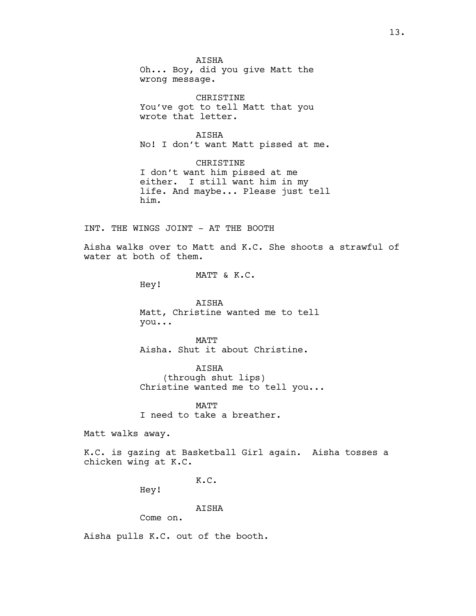AISHA Oh... Boy, did you give Matt the wrong message.

CHRISTINE You've got to tell Matt that you wrote that letter.

AISHA No! I don't want Matt pissed at me.

CHRISTINE I don't want him pissed at me either. I still want him in my life. And maybe... Please just tell him.

INT. THE WINGS JOINT - AT THE BOOTH

Aisha walks over to Matt and K.C. She shoots a strawful of water at both of them.

MATT & K.C.

Hey!

AISHA Matt, Christine wanted me to tell you...

MATT Aisha. Shut it about Christine.

AISHA (through shut lips) Christine wanted me to tell you...

**MATT** I need to take a breather.

Matt walks away.

K.C. is gazing at Basketball Girl again. Aisha tosses a chicken wing at K.C.

K.C.

Hey!

AISHA

Come on.

Aisha pulls K.C. out of the booth.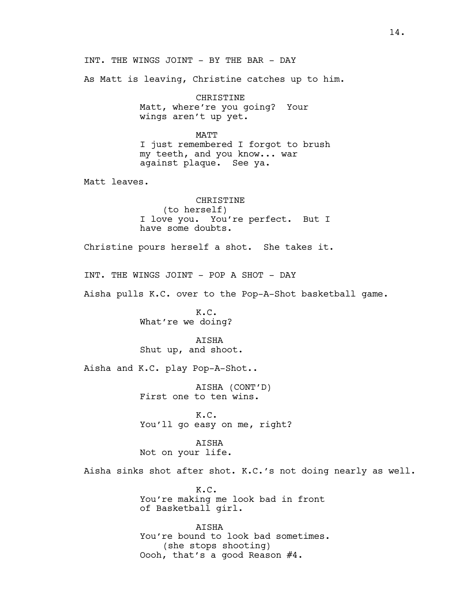INT. THE WINGS JOINT - BY THE BAR - DAY As Matt is leaving, Christine catches up to him. CHRISTINE Matt, where're you going? Your wings aren't up yet. MATT I just remembered I forgot to brush my teeth, and you know... war against plaque. See ya. Matt leaves. CHRISTINE (to herself) I love you. You're perfect. But I have some doubts. Christine pours herself a shot. She takes it. INT. THE WINGS JOINT - POP A SHOT - DAY Aisha pulls K.C. over to the Pop-A-Shot basketball game. K.C. What're we doing? AISHA Shut up, and shoot. Aisha and K.C. play Pop-A-Shot.. AISHA (CONT'D) First one to ten wins. K.C. You'll go easy on me, right? AISHA Not on your life. Aisha sinks shot after shot. K.C.'s not doing nearly as well. K.C. You're making me look bad in front of Basketball girl. AISHA You're bound to look bad sometimes. (she stops shooting) Oooh, that's a good Reason #4.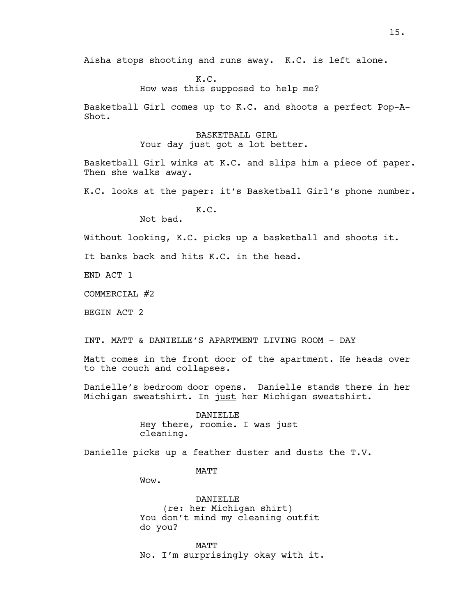Aisha stops shooting and runs away. K.C. is left alone.

K.C. How was this supposed to help me?

Basketball Girl comes up to K.C. and shoots a perfect Pop-A-Shot.

> BASKETBALL GIRL Your day just got a lot better.

Basketball Girl winks at K.C. and slips him a piece of paper. Then she walks away.

K.C. looks at the paper: it's Basketball Girl's phone number.

K.C. Not bad.

Without looking, K.C. picks up a basketball and shoots it.

It banks back and hits K.C. in the head.

END ACT 1

COMMERCIAL #2

BEGIN ACT 2

INT. MATT & DANIELLE'S APARTMENT LIVING ROOM - DAY

Matt comes in the front door of the apartment. He heads over to the couch and collapses.

Danielle's bedroom door opens. Danielle stands there in her Michigan sweatshirt. In just her Michigan sweatshirt.

> DANIELLE Hey there, roomie. I was just cleaning.

Danielle picks up a feather duster and dusts the T.V.

MATT

Wow.

DANIELLE (re: her Michigan shirt) You don't mind my cleaning outfit do you?

MATT No. I'm surprisingly okay with it.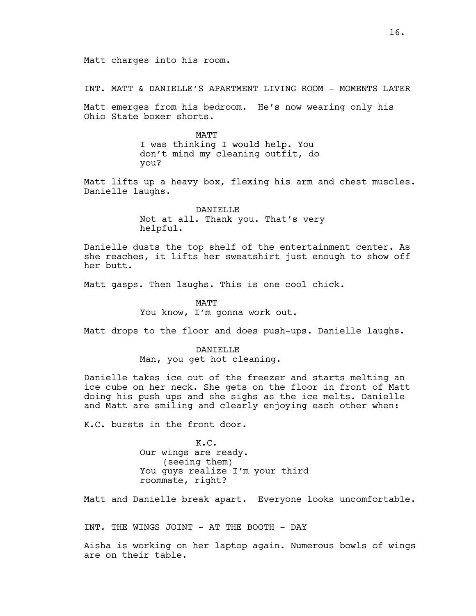INT. MATT & DANIELLE'S APARTMENT LIVING ROOM - MOMENTS LATER

Matt emerges from his bedroom. He's now wearing only his Ohio State boxer shorts.

> **MATT** I was thinking I would help. You don't mind my cleaning outfit, do you?

Matt lifts up a heavy box, flexing his arm and chest muscles. Danielle laughs.

> DANIELLE Not at all. Thank you. That's very helpful.

Danielle dusts the top shelf of the entertainment center. As she reaches, it lifts her sweatshirt just enough to show off her butt.

Matt gasps. Then laughs. This is one cool chick.

MATT You know, I'm gonna work out.

Matt drops to the floor and does push-ups. Danielle laughs.

DANTELLE Man, you get hot cleaning.

Danielle takes ice out of the freezer and starts melting an ice cube on her neck. She gets on the floor in front of Matt doing his push ups and she sighs as the ice melts. Danielle and Matt are smiling and clearly enjoying each other when:

K.C. bursts in the front door.

K.C. Our wings are ready. (seeing them) You guys realize I'm your third roommate, right?

Matt and Danielle break apart. Everyone looks uncomfortable.

INT. THE WINGS JOINT - AT THE BOOTH - DAY

Aisha is working on her laptop again. Numerous bowls of wings are on their table.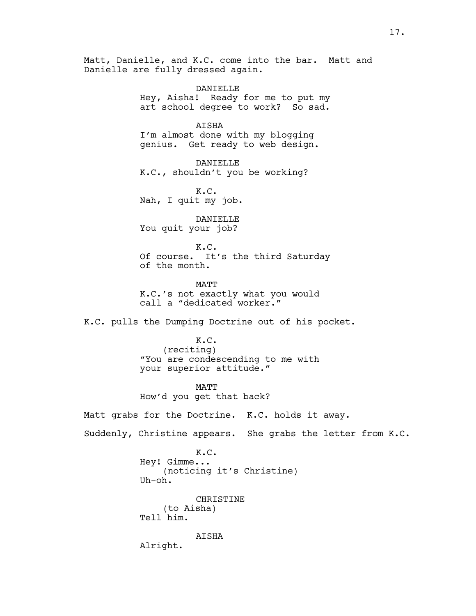Matt, Danielle, and K.C. come into the bar. Matt and Danielle are fully dressed again. DANIELLE Hey, Aisha! Ready for me to put my art school degree to work? So sad. AISHA I'm almost done with my blogging genius. Get ready to web design. DANIELLE K.C., shouldn't you be working? K.C. Nah, I quit my job. DANIELLE You quit your job? K.C. Of course. It's the third Saturday of the month. **MATT** K.C.'s not exactly what you would call a "dedicated worker." K.C. pulls the Dumping Doctrine out of his pocket. K.C. (reciting) "You are condescending to me with your superior attitude." MATT How'd you get that back? Matt grabs for the Doctrine. K.C. holds it away. Suddenly, Christine appears. She grabs the letter from K.C. K.C. Hey! Gimme... (noticing it's Christine) Uh-oh. CHRISTINE (to Aisha) Tell him. AISHA Alright.

17.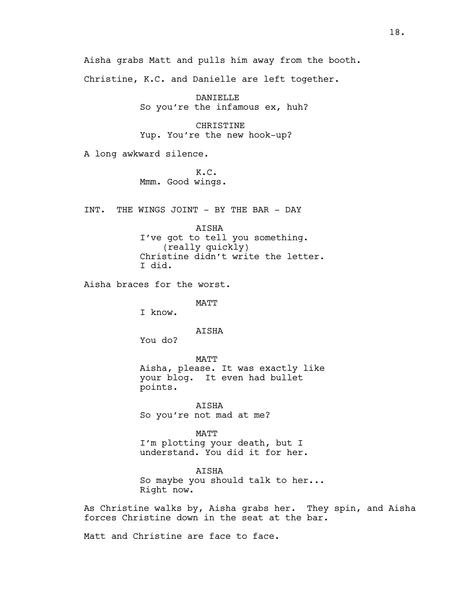Christine, K.C. and Danielle are left together. DANIELLE So you're the infamous ex, huh? CHRISTINE Yup. You're the new hook-up? A long awkward silence. K.C. Mmm. Good wings. INT. THE WINGS JOINT - BY THE BAR - DAY AISHA I've got to tell you something. (really quickly) Christine didn't write the letter. I did. Aisha braces for the worst. MATT I know. AISHA You do? MATT Aisha, please. It was exactly like your blog. It even had bullet points. AISHA So you're not mad at me? MATT I'm plotting your death, but I understand. You did it for her. AISHA So maybe you should talk to her... Right now. forces Christine down in the seat at the bar. Matt and Christine are face to face.

Aisha grabs Matt and pulls him away from the booth.

As Christine walks by, Aisha grabs her. They spin, and Aisha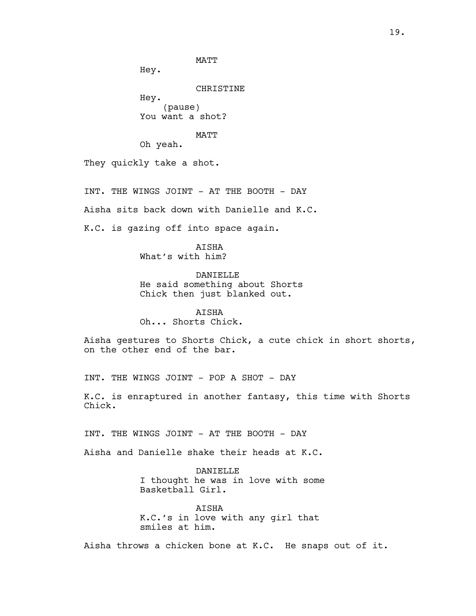Hey.

CHRISTINE

Hey. (pause) You want a shot?

MATT

Oh yeah.

They quickly take a shot.

INT. THE WINGS JOINT - AT THE BOOTH - DAY

Aisha sits back down with Danielle and K.C.

K.C. is gazing off into space again.

**ATSHA** What's with him?

DANIELLE He said something about Shorts Chick then just blanked out.

AISHA Oh... Shorts Chick.

Aisha gestures to Shorts Chick, a cute chick in short shorts, on the other end of the bar.

INT. THE WINGS JOINT - POP A SHOT - DAY

K.C. is enraptured in another fantasy, this time with Shorts Chick.

INT. THE WINGS JOINT - AT THE BOOTH - DAY

Aisha and Danielle shake their heads at K.C.

DANIELLE I thought he was in love with some Basketball Girl.

AISHA K.C.'s in love with any girl that smiles at him.

Aisha throws a chicken bone at K.C. He snaps out of it.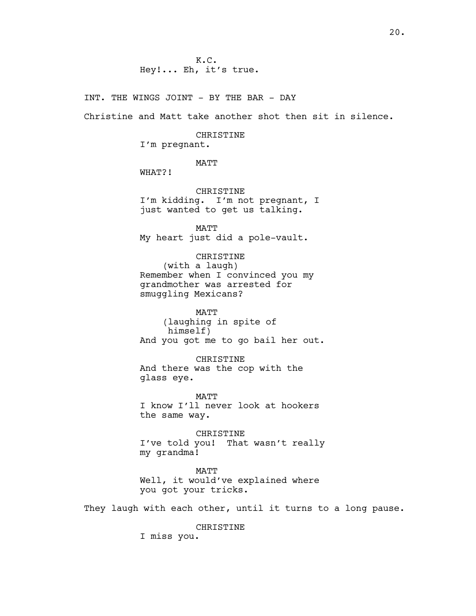K.C. Hey!... Eh, it's true.

INT. THE WINGS JOINT - BY THE BAR - DAY

Christine and Matt take another shot then sit in silence.

#### CHRISTINE

I'm pregnant.

MATT

WHAT?!

CHRISTINE I'm kidding. I'm not pregnant, I just wanted to get us talking.

MATT My heart just did a pole-vault.

CHRISTINE (with a laugh) Remember when I convinced you my grandmother was arrested for smuggling Mexicans?

MATT (laughing in spite of himself) And you got me to go bail her out.

CHRISTINE And there was the cop with the glass eye.

MATT I know I'll never look at hookers the same way.

CHRISTINE I've told you! That wasn't really my grandma!

MATT Well, it would've explained where you got your tricks.

They laugh with each other, until it turns to a long pause.

CHRISTINE

I miss you.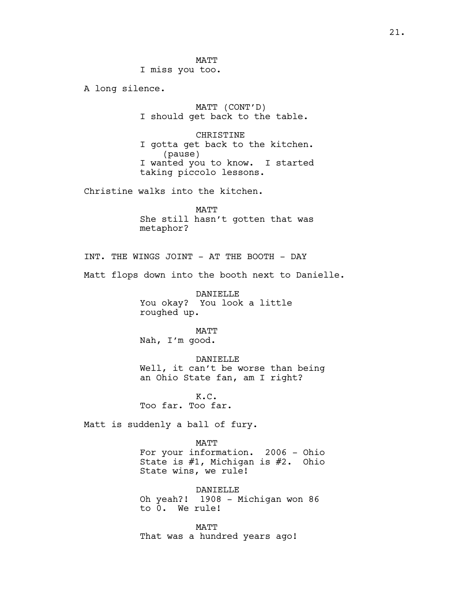**MATT** I miss you too.

A long silence.

MATT (CONT'D) I should get back to the table.

CHRISTINE I gotta get back to the kitchen. (pause) I wanted you to know. I started taking piccolo lessons.

Christine walks into the kitchen.

MATT She still hasn't gotten that was metaphor?

INT. THE WINGS JOINT - AT THE BOOTH - DAY

Matt flops down into the booth next to Danielle.

DANIELLE You okay? You look a little roughed up.

MATT Nah, I'm good.

DANIELLE Well, it can't be worse than being an Ohio State fan, am I right?

K.C. Too far. Too far.

Matt is suddenly a ball of fury.

MATT For your information. 2006 - Ohio State is #1, Michigan is #2. Ohio State wins, we rule!

DANIELLE Oh yeah?! 1908 - Michigan won 86 to 0. We rule!

MATT That was a hundred years ago!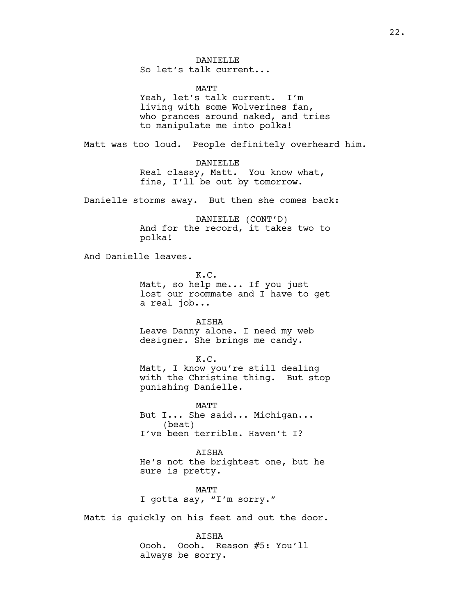DANTELLE

So let's talk current...

MATT

Yeah, let's talk current. I'm living with some Wolverines fan, who prances around naked, and tries to manipulate me into polka!

Matt was too loud. People definitely overheard him.

DANIELLE Real classy, Matt. You know what, fine, I'll be out by tomorrow.

Danielle storms away. But then she comes back:

DANIELLE (CONT'D) And for the record, it takes two to polka!

And Danielle leaves.

K.C. Matt, so help me... If you just lost our roommate and I have to get a real job...

AISHA Leave Danny alone. I need my web designer. She brings me candy.

K.C.

Matt, I know you're still dealing with the Christine thing. But stop punishing Danielle.

MATT But I... She said... Michigan... (beat) I've been terrible. Haven't I?

AISHA He's not the brightest one, but he sure is pretty.

MATT I gotta say, "I'm sorry."

Matt is quickly on his feet and out the door.

AISHA Oooh. Oooh. Reason #5: You'll always be sorry.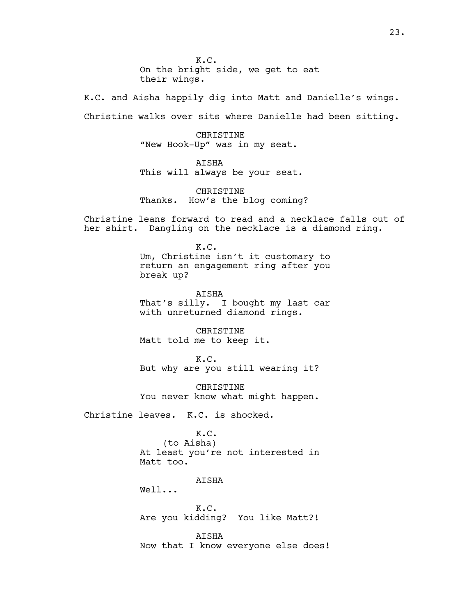K.C. On the bright side, we get to eat their wings.

K.C. and Aisha happily dig into Matt and Danielle's wings. Christine walks over sits where Danielle had been sitting.

> CHRISTINE "New Hook-Up" was in my seat.

AISHA This will always be your seat.

CHRISTINE Thanks. How's the blog coming?

Christine leans forward to read and a necklace falls out of her shirt. Dangling on the necklace is a diamond ring.

> K.C. Um, Christine isn't it customary to return an engagement ring after you break up?

> AISHA That's silly. I bought my last car with unreturned diamond rings.

**CHRISTINE** Matt told me to keep it.

K.C. But why are you still wearing it?

CHRISTINE You never know what might happen.

Christine leaves. K.C. is shocked.

K.C.

(to Aisha) At least you're not interested in Matt too.

AISHA

Well...

K.C. Are you kidding? You like Matt?!

AISHA Now that I know everyone else does!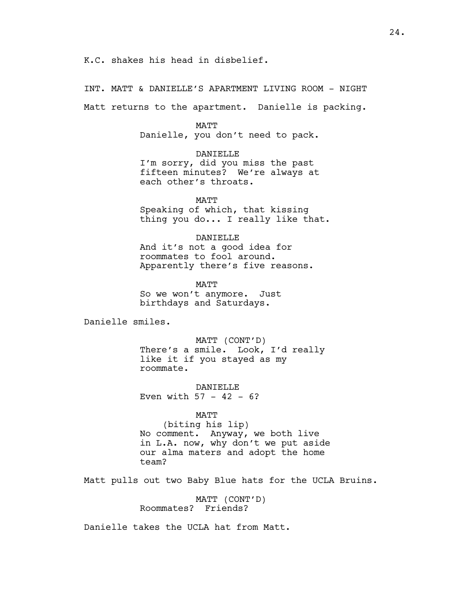K.C. shakes his head in disbelief.

INT. MATT & DANIELLE'S APARTMENT LIVING ROOM - NIGHT

Matt returns to the apartment. Danielle is packing.

MATT

Danielle, you don't need to pack.

DANIELLE

I'm sorry, did you miss the past fifteen minutes? We're always at each other's throats.

MATT Speaking of which, that kissing thing you do... I really like that.

DANIELLE

And it's not a good idea for roommates to fool around. Apparently there's five reasons.

**MATT** So we won't anymore. Just birthdays and Saturdays.

Danielle smiles.

MATT (CONT'D) There's a smile. Look, I'd really like it if you stayed as my roommate.

DANIELLE Even with  $57 - 42 - 6?$ 

MATT

(biting his lip) No comment. Anyway, we both live in L.A. now, why don't we put aside our alma maters and adopt the home team?

Matt pulls out two Baby Blue hats for the UCLA Bruins.

MATT (CONT'D) Roommates? Friends?

Danielle takes the UCLA hat from Matt.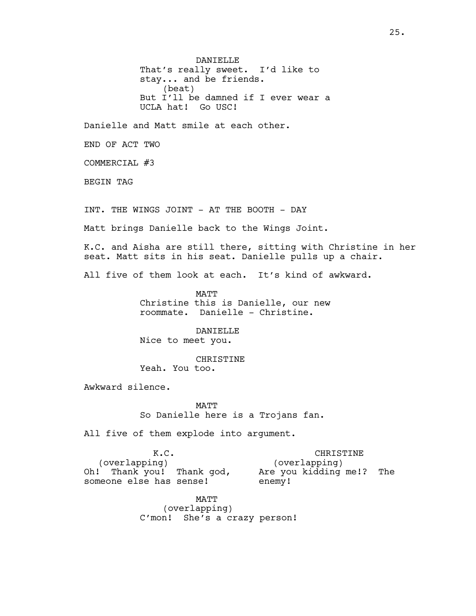DANIELLE That's really sweet. I'd like to stay... and be friends. (beat) But I'll be damned if I ever wear a UCLA hat! Go USC!

Danielle and Matt smile at each other.

END OF ACT TWO

COMMERCIAL #3

BEGIN TAG

INT. THE WINGS JOINT - AT THE BOOTH - DAY

Matt brings Danielle back to the Wings Joint.

K.C. and Aisha are still there, sitting with Christine in her seat. Matt sits in his seat. Danielle pulls up a chair.

All five of them look at each. It's kind of awkward.

MATT Christine this is Danielle, our new roommate. Danielle - Christine.

DANIELLE Nice to meet you.

CHRISTINE Yeah. You too.

Awkward silence.

MATT So Danielle here is a Trojans fan.

All five of them explode into argument.

K.C. (overlapping) Oh! Thank you! Thank god, someone else has sense! CHRISTINE (overlapping) Are you kidding me!? The enemy!

> MATT (overlapping) C'mon! She's a crazy person!